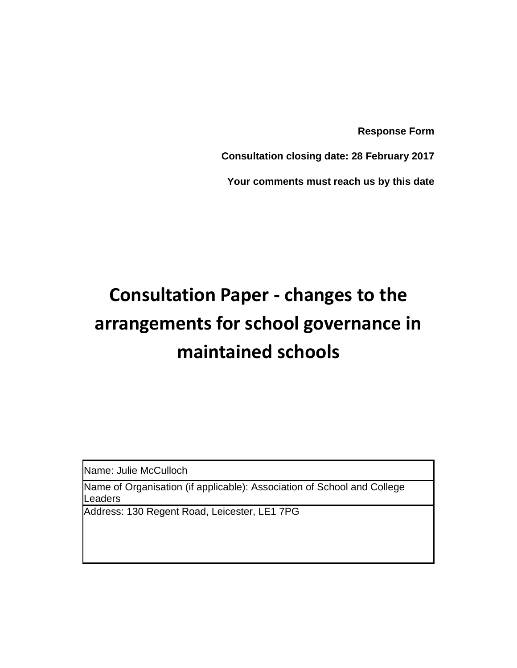**Response Form**

**Consultation closing date: 28 February 2017**

**Your comments must reach us by this date**

## **Consultation Paper - changes to the arrangements for school governance in maintained schools**

Name: Julie McCulloch

Name of Organisation (if applicable): Association of School and College **Leaders** 

Address: 130 Regent Road, Leicester, LE1 7PG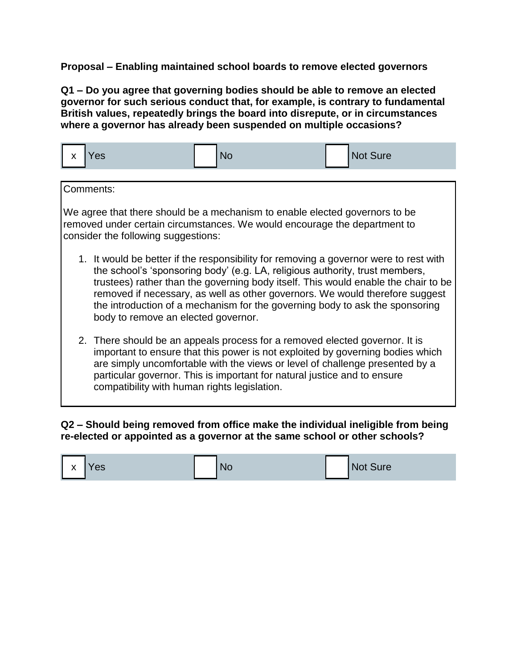**Proposal – Enabling maintained school boards to remove elected governors** 

**Q1 – Do you agree that governing bodies should be able to remove an elected governor for such serious conduct that, for example, is contrary to fundamental British values, repeatedly brings the board into disrepute, or in circumstances where a governor has already been suspended on multiple occasions?**

| <b>No</b><br>$\overline{\mathbf{v}}$<br>'es<br>$\lambda$ | Not Sure |
|----------------------------------------------------------|----------|
|----------------------------------------------------------|----------|

Comments:

We agree that there should be a mechanism to enable elected governors to be removed under certain circumstances. We would encourage the department to consider the following suggestions:

- 1. It would be better if the responsibility for removing a governor were to rest with the school's 'sponsoring body' (e.g. LA, religious authority, trust members, trustees) rather than the governing body itself. This would enable the chair to be removed if necessary, as well as other governors. We would therefore suggest the introduction of a mechanism for the governing body to ask the sponsoring body to remove an elected governor.
- 2. There should be an appeals process for a removed elected governor. It is important to ensure that this power is not exploited by governing bodies which are simply uncomfortable with the views or level of challenge presented by a particular governor. This is important for natural justice and to ensure compatibility with human rights legislation.

## **Q2 – Should being removed from office make the individual ineligible from being re-elected or appointed as a governor at the same school or other schools?**

| $\mathsf{I}$ x | Yes | <b>NO</b> | Not Sure |
|----------------|-----|-----------|----------|
|----------------|-----|-----------|----------|